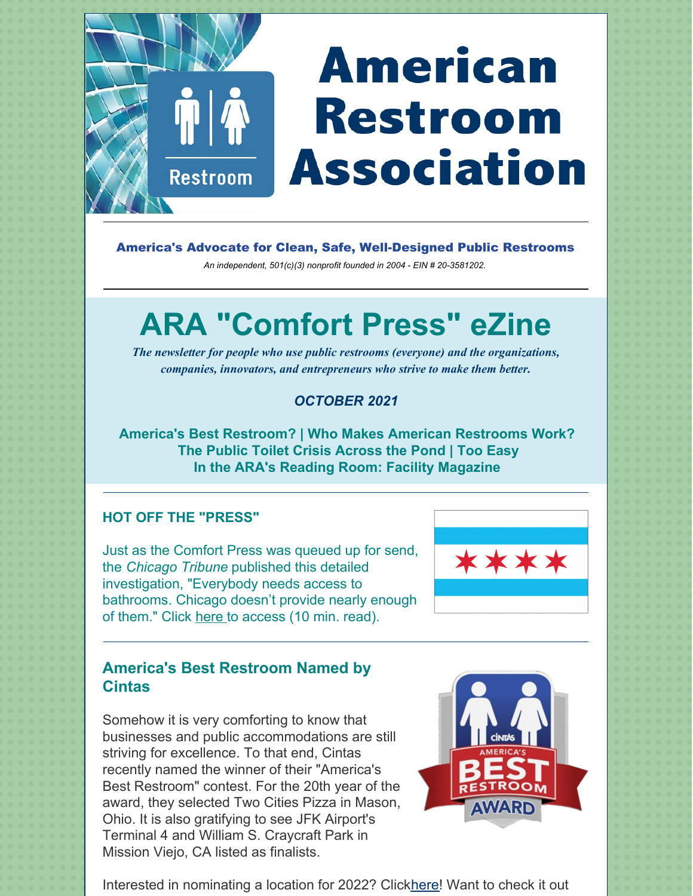# **American Restroom Association**

America's Advocate for Clean, Safe, Well-Designed Public Restrooms

*An independent, 501(c)(3) nonprofit founded in 2004 - EIN # 20-3581202.*

# **ARA "Comfort Press" eZine**

*The newsletter for people who use public restrooms (everyone) and the organizations, companies, innovators, and entrepreneurs who strive to make them better.*

# *OCTOBER 2021*

**America's Best Restroom? | Who Makes American Restrooms Work? The Public Toilet Crisis Across the Pond | Too Easy In the ARA's Reading Room: Facility Magazine**

# **HOT OFF THE "PRESS"**

 $\mathring{\mathbf{T}}$ 

**Restroom** 

Just as the Comfort Press was queued up for send, the *Chicago Tribune* published this detailed investigation, "Everybody needs access to bathrooms. Chicago doesn't provide nearly enough of them." Click [here](https://www.chicagotribune.com/investigations/ct-chicago-bathroom-access-lacking-20211021-rftay5sxgjbkrggvwfvlgvzmvm-htmlstory.html#rt=chartbeat-flt) to access (10 min. read).



# **America's Best Restroom Named by Cintas**

Somehow it is very comforting to know that businesses and public accommodations are still striving for excellence. To that end, Cintas recently named the winner of their "America's Best Restroom" contest. For the 20th year of the award, they selected Two Cities Pizza in Mason, Ohio. It is also gratifying to see JFK Airport's Terminal 4 and William S. Craycraft Park in Mission Viejo, CA listed as finalists.



Interested in nominating a location for 2022? Click[here](https://www.bestrestroom.com/nominate/)! Want to check it out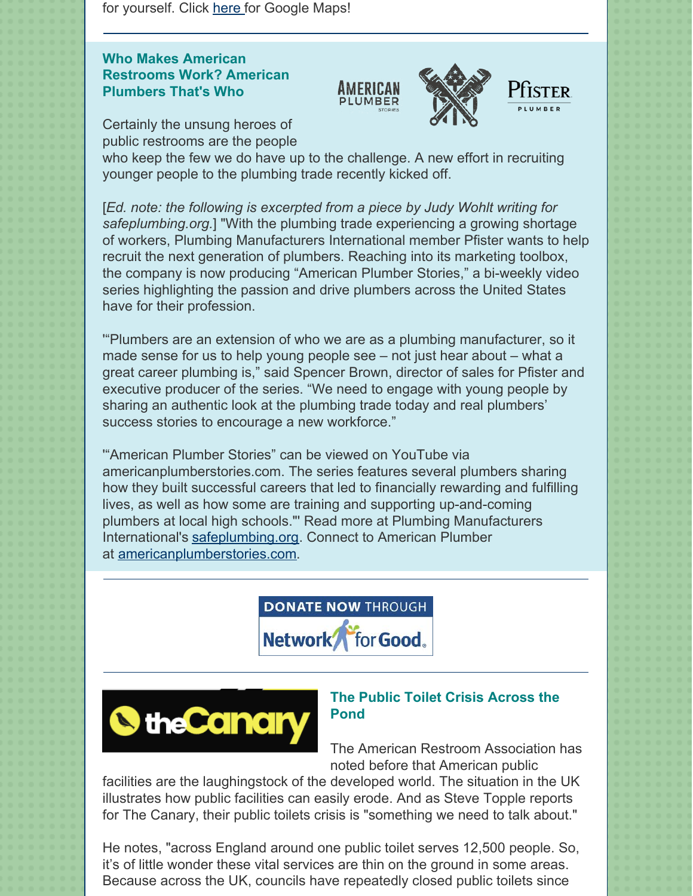for yourself. Click [here](https://www.google.com/maps/place/Two+Cities+Pizza+Co./@39.360543,-84.310767,15z/data=!4m5!3m4!1s0x0:0xd758f309ed35aff9!8m2!3d39.3605364!4d-84.3106417) for Google Maps!

## **Who Makes American Restrooms Work? American Plumbers That's Who**





Certainly the unsung heroes of public restrooms are the people

who keep the few we do have up to the challenge. A new effort in recruiting younger people to the plumbing trade recently kicked off.

[*Ed. note: the following is excerpted from a piece by Judy Wohlt writing for safeplumbing.org.*] "With the plumbing trade experiencing a growing shortage of workers, Plumbing Manufacturers International member Pfister wants to help recruit the next generation of plumbers. Reaching into its marketing toolbox, the company is now producing "American Plumber Stories," a bi-weekly video series highlighting the passion and drive plumbers across the United States have for their profession.

'"Plumbers are an extension of who we are as a plumbing manufacturer, so it made sense for us to help young people see – not just hear about – what a great career plumbing is," said Spencer Brown, director of sales for Pfister and executive producer of the series. "We need to engage with young people by sharing an authentic look at the plumbing trade today and real plumbers' success stories to encourage a new workforce."

'"American Plumber Stories" can be viewed on YouTube via americanplumberstories.com. The series features several plumbers sharing how they built successful careers that led to financially rewarding and fulfilling lives, as well as how some are training and supporting up-and-coming plumbers at local high schools."' Read more at Plumbing Manufacturers International's [safeplumbing.org](https://www.safeplumbing.org/communication-ripple-effect/details/september-2021). Connect to American Plumber at [americanplumberstories.com](https://www.americanplumberstories.com/).





### **The Public Toilet Crisis Across the Pond**

The American Restroom Association has noted before that American public

facilities are the laughingstock of the developed world. The situation in the UK illustrates how public facilities can easily erode. And as Steve Topple reports for The Canary, their public toilets crisis is "something we need to talk about."

He notes, "across England around one public toilet serves 12,500 people. So, it's of little wonder these vital services are thin on the ground in some areas. Because across the UK, councils have repeatedly closed public toilets since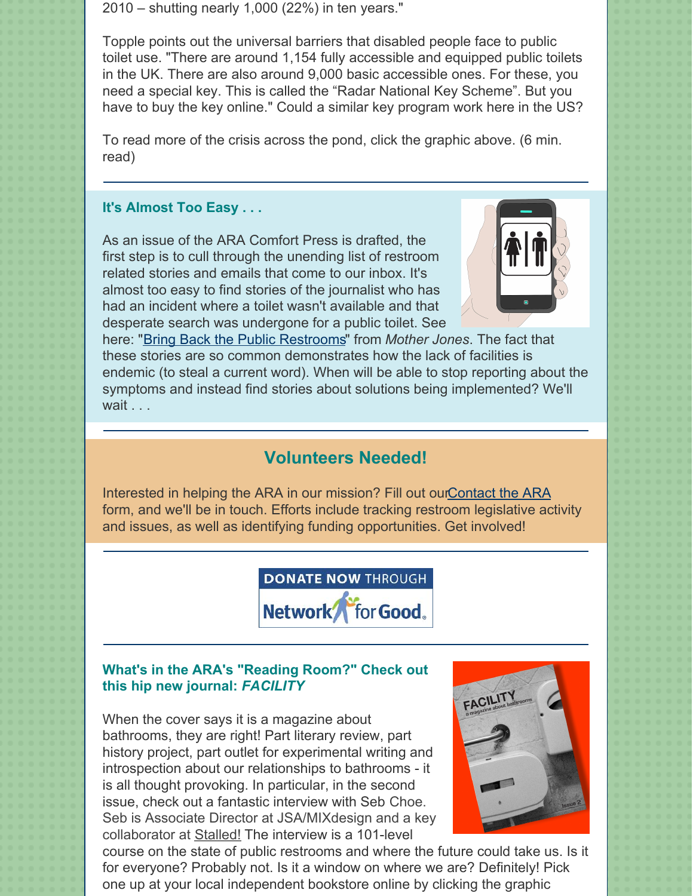2010 – shutting nearly 1,000 (22%) in ten years."

Topple points out the universal barriers that disabled people face to public toilet use. "There are around 1,154 fully accessible and equipped public toilets in the UK. There are also around 9,000 basic accessible ones. For these, you need a special key. This is called the "Radar National Key Scheme". But you have to buy the key online." Could a similar key program work here in the US?

To read more of the crisis across the pond, click the graphic above. (6 min. read)

#### **It's Almost Too Easy . . .**

As an issue of the ARA Comfort Press is drafted, the first step is to cull through the unending list of restroom related stories and emails that come to our inbox. It's almost too easy to find stories of the journalist who has had an incident where a toilet wasn't available and that desperate search was undergone for a public toilet. See



here: "Bring Back the Public [Restrooms](https://www.motherjones.com/politics/2021/07/bring-back-the-public-restrooms/)" from *Mother Jones*. The fact that these stories are so common demonstrates how the lack of facilities is endemic (to steal a current word). When will be able to stop reporting about the symptoms and instead find stories about solutions being implemented? We'll wait . . .

# **Volunteers Needed!**

Interested in helping the ARA in our mission? Fill out ou[rContact](https://americanrestroom.org/contact/) the ARA form, and we'll be in touch. Efforts include tracking restroom legislative activity and issues, as well as identifying funding opportunities. Get involved!



#### **What's in the ARA's "Reading Room?" Check out this hip new journal:** *FACILITY*

When the cover says it is a magazine about bathrooms, they are right! Part literary review, part history project, part outlet for experimental writing and introspection about our relationships to bathrooms - it is all thought provoking. In particular, in the second issue, check out a fantastic interview with Seb Choe. Seb is Associate Director at JSA/MIXdesign and a key collaborator at [Stalled!](https://www.stalled.online/) The interview is a 101-level



course on the state of public restrooms and where the future could take us. Is it for everyone? Probably not. Is it a window on where we are? Definitely! Pick one up at your local independent bookstore online by clicking the graphic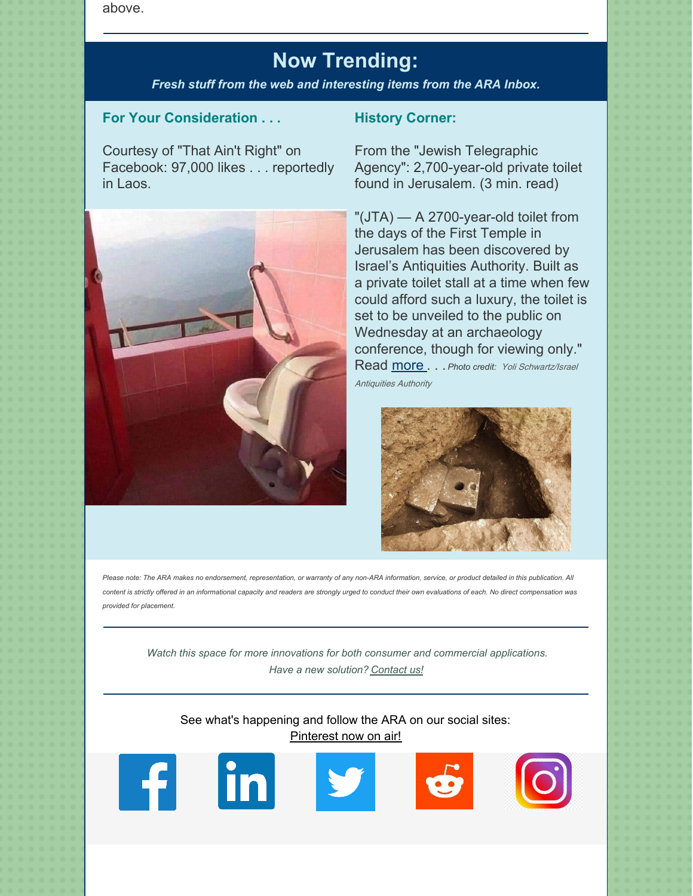above.

# **Now Trending:**

*Fresh stuff from the web and interesting items from the ARA Inbox.*

#### **For Your Consideration . . .**

Courtesy of "That Ain't Right" on Facebook: 97,000 likes . . . reportedly in Laos.



#### **History Corner:**

From the "Jewish Telegraphic Agency": 2,700-year-old private toilet found in Jerusalem. (3 min. read)

"(JTA) — A 2700-year-old toilet from the days of the First Temple in Jerusalem has been discovered by Israel's Antiquities Authority. Built as a private toilet stall at a time when few could afford such a luxury, the toilet is set to be unveiled to the public on Wednesday at an archaeology conference, though for viewing only." Read [more](https://www.jta.org/2021/10/05/israel/lost-toilets-of-the-first-temple-2700-year-old-private-toilet-found-in-jerusalem?) . . . *Photo credit:* Yoli Schwartz/Israel

Antiquities Authority



Please note: The ARA makes no endorsement, representation, or warranty of any non-ARA information, service, or product detailed in this publication. All content is strictly offered in an informational capacity and readers are strongly urged to conduct their own evaluations of each. No direct compensation was *provided for placement.*

*Watch this space for more innovations for both consumer and commercial applications. Have a new solution? [Contact](https://americanrestroom.org/contact/) us!*

See what's happening and follow the ARA on our social sites: [Pinterest](https://www.pinterest.com/American_Restroom_Association/) now on air!